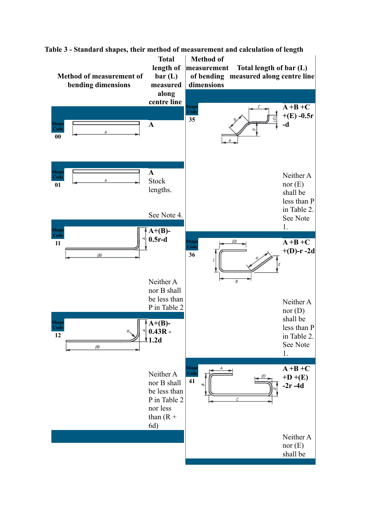

**Table 3 - Standard shapes, their method of measurement and calculation of length**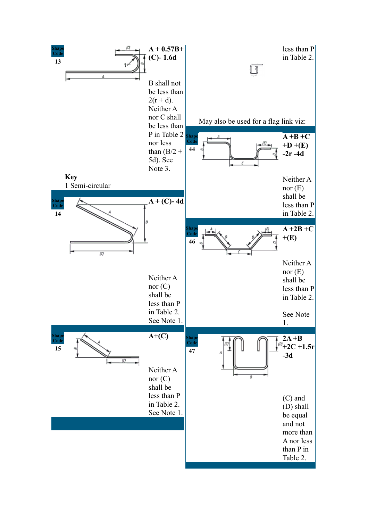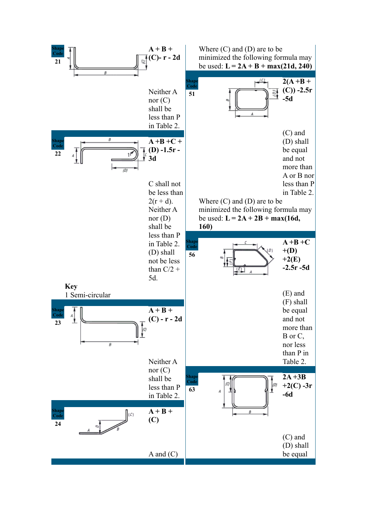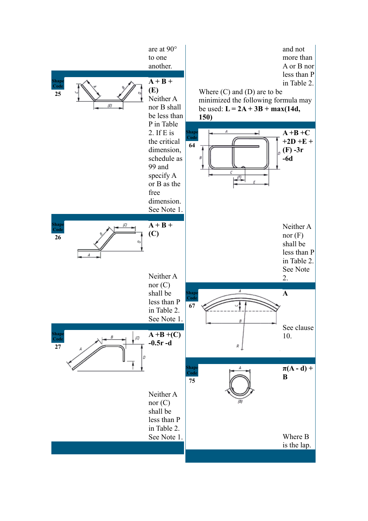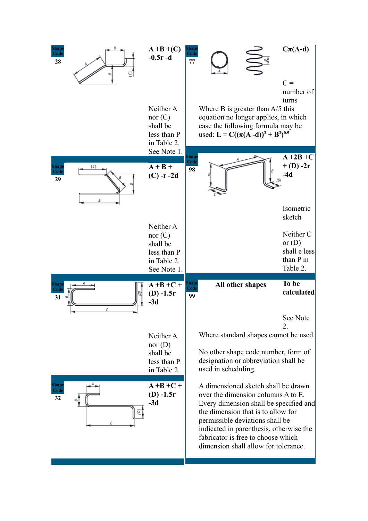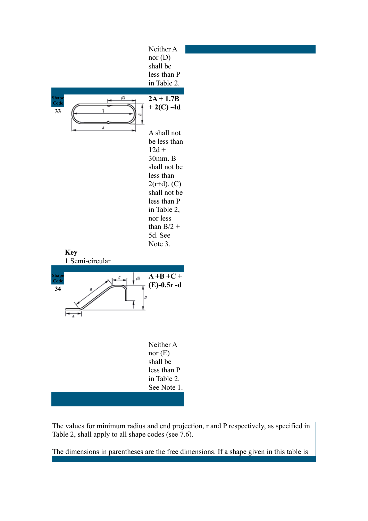

The values for minimum radius and end projection, r and P respectively, as specified in Table 2, shall apply to all shape codes (see 7.6).

The dimensions in parentheses are the free dimensions. If a shape given in this table is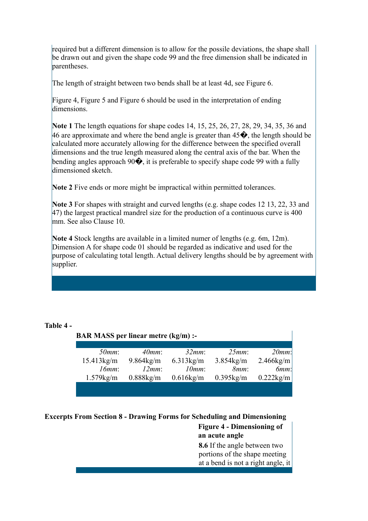required but a different dimension is to allow for the possile deviations, the shape shall be drawn out and given the shape code 99 and the free dimension shall be indicated in parentheses.

The length of straight between two bends shall be at least 4d, see Figure 6.

Figure 4, Figure 5 and Figure 6 should be used in the interpretation of ending dimensions.

**Note 1** The length equations for shape codes 14, 15, 25, 26, 27, 28, 29, 34, 35, 36 and 46 are approximate and where the bend angle is greater than  $45\hat{\mathbf{\diamond}}$ , the length should be calculated more accurately allowing for the difference between the specified overall dimensions and the true length measured along the central axis of the bar. When the bending angles approach  $90\hat{\bullet}$ , it is preferable to specify shape code 99 with a fully dimensioned sketch.

**Note 2** Five ends or more might be impractical within permitted tolerances.

**Note 3** For shapes with straight and curved lengths (e.g. shape codes 12 13, 22, 33 and 47) the largest practical mandrel size for the production of a continuous curve is 400 mm. See also Clause 10.

**Note 4** Stock lengths are available in a limited numer of lengths (e.g. 6m, 12m). Dimension A for shape code 01 should be regarded as indicative and used for the purpose of calculating total length. Actual delivery lengths should be by agreement with supplier.

## **Table 4 -**

| <b>BAR MASS per linear metre (kg/m) :-</b> |                                          |                                  |                     |
|--------------------------------------------|------------------------------------------|----------------------------------|---------------------|
|                                            |                                          |                                  |                     |
|                                            |                                          |                                  | $20mm$ :            |
| $15.413$ kg/m                              | $6.313$ kg/m                             | $3.854$ kg/m                     | $2.466$ kg/m        |
| $16mm$ :                                   | $10mm$ :                                 |                                  | $6mm$ :             |
| $1.579$ kg/m                               | $0.616$ kg/m                             | $0.395$ kg/m                     | $0.222$ kg/m        |
|                                            |                                          |                                  |                     |
|                                            | $50mm$ :<br>$9.864$ kg/m<br>$0.888$ kg/m | $32mm$ :<br>$40mm$ :<br>$12mm$ : | $25mm$ :<br>$8mm$ : |

## **Excerpts From Section 8 - Drawing Forms for Scheduling and Dimensioning**

## **Figure 4 - Dimensioning of an acute angle 8.6** If the angle between two

portions of the shape meeting at a bend is not a right angle, it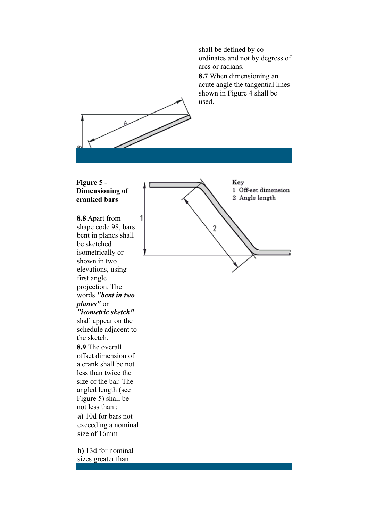

## **Figure 5 -** Key **Dimensioning of** 1 Off-set dimension 2 Angle length **cranked bars 8.8** Apart from 1 shape code 98, bars  $\overline{c}$ bent in planes shall be sketched isometrically or shown in two elevations, using first angle projection. The words *"bent in two planes"* or *"isometric sketch"* shall appear on the schedule adjacent to the sketch. **8.9** The overall offset dimension of a crank shall be not less than twice the size of the bar. The angled length (see Figure 5) shall be not less than : **a)** 10d for bars not exceeding a nominal size of 16mm **b)** 13d for nominal sizes greater than